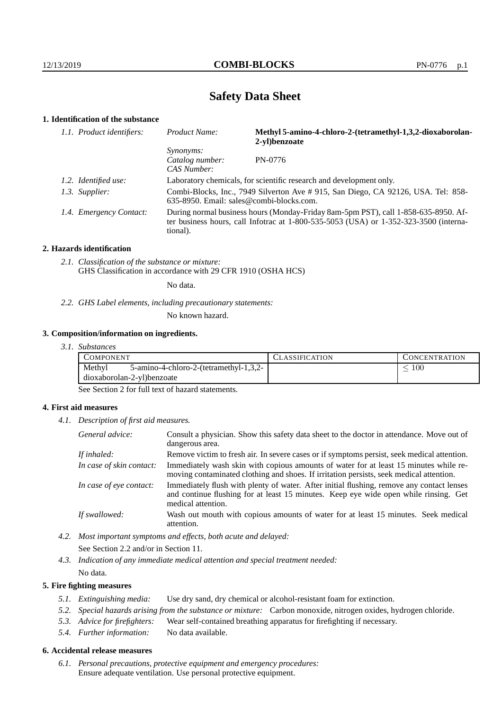# **Safety Data Sheet**

## **1. Identification of the substance**

| 1.1. Product identifiers: | Product Name:                                                                                                                 | Methyl 5-amino-4-chloro-2-(tetramethyl-1,3,2-dioxaborolan-<br>2-vl)benzoate                                                                                                 |
|---------------------------|-------------------------------------------------------------------------------------------------------------------------------|-----------------------------------------------------------------------------------------------------------------------------------------------------------------------------|
|                           | <i>Synonyms:</i><br>Catalog number:<br>CAS Number:                                                                            | PN-0776                                                                                                                                                                     |
| 1.2. Identified use:      |                                                                                                                               | Laboratory chemicals, for scientific research and development only.                                                                                                         |
| 1.3. Supplier:            | Combi-Blocks, Inc., 7949 Silverton Ave # 915, San Diego, CA 92126, USA. Tel: 858-<br>635-8950. Email: sales@combi-blocks.com. |                                                                                                                                                                             |
| 1.4. Emergency Contact:   | tional).                                                                                                                      | During normal business hours (Monday-Friday 8am-5pm PST), call 1-858-635-8950. Af-<br>ter business hours, call Infotrac at 1-800-535-5053 (USA) or 1-352-323-3500 (interna- |

#### **2. Hazards identification**

*2.1. Classification of the substance or mixture:* GHS Classification in accordance with 29 CFR 1910 (OSHA HCS)

No data.

*2.2. GHS Label elements, including precautionary statements:*

No known hazard.

#### **3. Composition/information on ingredients.**

*3.1. Substances*

| L'OMPONENT                 |                                           | LASSIFICATION. | CONCENTRATION. |
|----------------------------|-------------------------------------------|----------------|----------------|
| Methyl                     | $5$ -amino-4-chloro-2-(tetramethyl-1,3,2- |                | 100            |
| dioxaborolan-2-yl)benzoate |                                           |                |                |

See Section 2 for full text of hazard statements.

## **4. First aid measures**

*4.1. Description of first aid measures.*

| General advice:          | Consult a physician. Show this safety data sheet to the doctor in attendance. Move out of<br>dangerous area.                                                                                            |
|--------------------------|---------------------------------------------------------------------------------------------------------------------------------------------------------------------------------------------------------|
| If inhaled:              | Remove victim to fresh air. In severe cases or if symptoms persist, seek medical attention.                                                                                                             |
| In case of skin contact: | Immediately wash skin with copious amounts of water for at least 15 minutes while re-<br>moving contaminated clothing and shoes. If irritation persists, seek medical attention.                        |
| In case of eye contact:  | Immediately flush with plenty of water. After initial flushing, remove any contact lenses<br>and continue flushing for at least 15 minutes. Keep eye wide open while rinsing. Get<br>medical attention. |
| If swallowed:            | Wash out mouth with copious amounts of water for at least 15 minutes. Seek medical<br>attention.                                                                                                        |

- *4.2. Most important symptoms and effects, both acute and delayed:* See Section 2.2 and/or in Section 11.
- *4.3. Indication of any immediate medical attention and special treatment needed:* No data.

## **5. Fire fighting measures**

- *5.1. Extinguishing media:* Use dry sand, dry chemical or alcohol-resistant foam for extinction.
- *5.2. Special hazards arising from the substance or mixture:* Carbon monoxide, nitrogen oxides, hydrogen chloride.
- *5.3. Advice for firefighters:* Wear self-contained breathing apparatus for firefighting if necessary.
- *5.4. Further information:* No data available.

## **6. Accidental release measures**

*6.1. Personal precautions, protective equipment and emergency procedures:* Ensure adequate ventilation. Use personal protective equipment.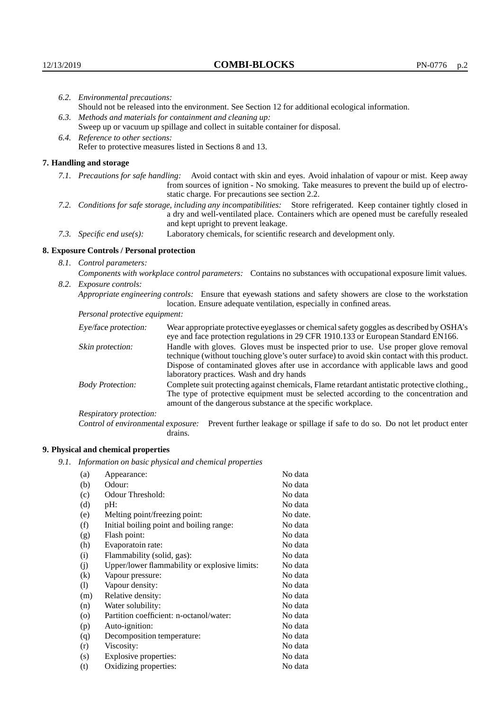|                                   | 6.2. Environmental precautions:                                                                                                                                                                                                                                    |                                                                                                                                                                                                                                                                            |  |  |  |
|-----------------------------------|--------------------------------------------------------------------------------------------------------------------------------------------------------------------------------------------------------------------------------------------------------------------|----------------------------------------------------------------------------------------------------------------------------------------------------------------------------------------------------------------------------------------------------------------------------|--|--|--|
|                                   | Should not be released into the environment. See Section 12 for additional ecological information.                                                                                                                                                                 |                                                                                                                                                                                                                                                                            |  |  |  |
|                                   | 6.3. Methods and materials for containment and cleaning up:                                                                                                                                                                                                        |                                                                                                                                                                                                                                                                            |  |  |  |
|                                   |                                                                                                                                                                                                                                                                    | Sweep up or vacuum up spillage and collect in suitable container for disposal.                                                                                                                                                                                             |  |  |  |
| 6.4. Reference to other sections: |                                                                                                                                                                                                                                                                    |                                                                                                                                                                                                                                                                            |  |  |  |
|                                   |                                                                                                                                                                                                                                                                    | Refer to protective measures listed in Sections 8 and 13.                                                                                                                                                                                                                  |  |  |  |
|                                   | 7. Handling and storage                                                                                                                                                                                                                                            |                                                                                                                                                                                                                                                                            |  |  |  |
|                                   | 7.1. Precautions for safe handling: Avoid contact with skin and eyes. Avoid inhalation of vapour or mist. Keep away<br>from sources of ignition - No smoking. Take measures to prevent the build up of electro-<br>static charge. For precautions see section 2.2. |                                                                                                                                                                                                                                                                            |  |  |  |
|                                   | 7.2. Conditions for safe storage, including any incompatibilities: Store refrigerated. Keep container tightly closed in<br>a dry and well-ventilated place. Containers which are opened must be carefully resealed<br>and kept upright to prevent leakage.         |                                                                                                                                                                                                                                                                            |  |  |  |
|                                   | Laboratory chemicals, for scientific research and development only.<br>7.3. Specific end use(s):                                                                                                                                                                   |                                                                                                                                                                                                                                                                            |  |  |  |
|                                   | 8. Exposure Controls / Personal protection                                                                                                                                                                                                                         |                                                                                                                                                                                                                                                                            |  |  |  |
|                                   | 8.1. Control parameters:                                                                                                                                                                                                                                           |                                                                                                                                                                                                                                                                            |  |  |  |
|                                   | Components with workplace control parameters: Contains no substances with occupational exposure limit values.                                                                                                                                                      |                                                                                                                                                                                                                                                                            |  |  |  |
|                                   | 8.2. Exposure controls:                                                                                                                                                                                                                                            |                                                                                                                                                                                                                                                                            |  |  |  |
|                                   |                                                                                                                                                                                                                                                                    | Appropriate engineering controls: Ensure that eyewash stations and safety showers are close to the workstation<br>location. Ensure adequate ventilation, especially in confined areas.                                                                                     |  |  |  |
|                                   | Personal protective equipment:                                                                                                                                                                                                                                     |                                                                                                                                                                                                                                                                            |  |  |  |
|                                   | Eye/face protection:                                                                                                                                                                                                                                               | Wear appropriate protective eyeglasses or chemical safety goggles as described by OSHA's<br>eye and face protection regulations in 29 CFR 1910.133 or European Standard EN166.                                                                                             |  |  |  |
|                                   | Skin protection:                                                                                                                                                                                                                                                   | Handle with gloves. Gloves must be inspected prior to use. Use proper glove removal<br>technique (without touching glove's outer surface) to avoid skin contact with this product.<br>Dispose of conteminated gloves after use in accordance with applicable laws and good |  |  |  |

## **8. Exposure Controls / Personal protection**

| Eye/face protection:               | Wear appropriate protective eyeglasses or chemical safety goggles as described by OSHA's<br>eye and face protection regulations in 29 CFR 1910.133 or European Standard EN166.                                                                                                                                         |  |  |
|------------------------------------|------------------------------------------------------------------------------------------------------------------------------------------------------------------------------------------------------------------------------------------------------------------------------------------------------------------------|--|--|
| Skin protection:                   | Handle with gloves. Gloves must be inspected prior to use. Use proper glove removal<br>technique (without touching glove's outer surface) to avoid skin contact with this product.<br>Dispose of contaminated gloves after use in accordance with applicable laws and good<br>laboratory practices. Wash and dry hands |  |  |
| <b>Body Protection:</b>            | Complete suit protecting against chemicals, Flame retardant antistatic protective clothing.,<br>The type of protective equipment must be selected according to the concentration and<br>amount of the dangerous substance at the specific workplace.                                                                   |  |  |
| Respiratory protection:            |                                                                                                                                                                                                                                                                                                                        |  |  |
| Control of environmental exposure: | Prevent further leakage or spillage if safe to do so. Do not let product enter<br>drains.                                                                                                                                                                                                                              |  |  |

# **9. Physical and chemical properties**

*9.1. Information on basic physical and chemical properties*

| (a)                        | Appearance:                                   | No data  |
|----------------------------|-----------------------------------------------|----------|
| (b)                        | Odour:                                        | No data  |
| (c)                        | Odour Threshold:                              | No data  |
| (d)                        | pH:                                           | No data  |
| (e)                        | Melting point/freezing point:                 | No date. |
| (f)                        | Initial boiling point and boiling range:      | No data  |
| (g)                        | Flash point:                                  | No data  |
| (h)                        | Evaporatoin rate:                             | No data  |
| (i)                        | Flammability (solid, gas):                    | No data  |
| (j)                        | Upper/lower flammability or explosive limits: | No data  |
| $\left( k\right)$          | Vapour pressure:                              | No data  |
| $\left( \mathrm{l}\right)$ | Vapour density:                               | No data  |
| (m)                        | Relative density:                             | No data  |
| (n)                        | Water solubility:                             | No data  |
| $\circ$                    | Partition coefficient: n-octanol/water:       | No data  |
| (p)                        | Auto-ignition:                                | No data  |
| (q)                        | Decomposition temperature:                    | No data  |
| (r)                        | Viscosity:                                    | No data  |
| (s)                        | Explosive properties:                         | No data  |
| (t)                        | Oxidizing properties:                         | No data  |